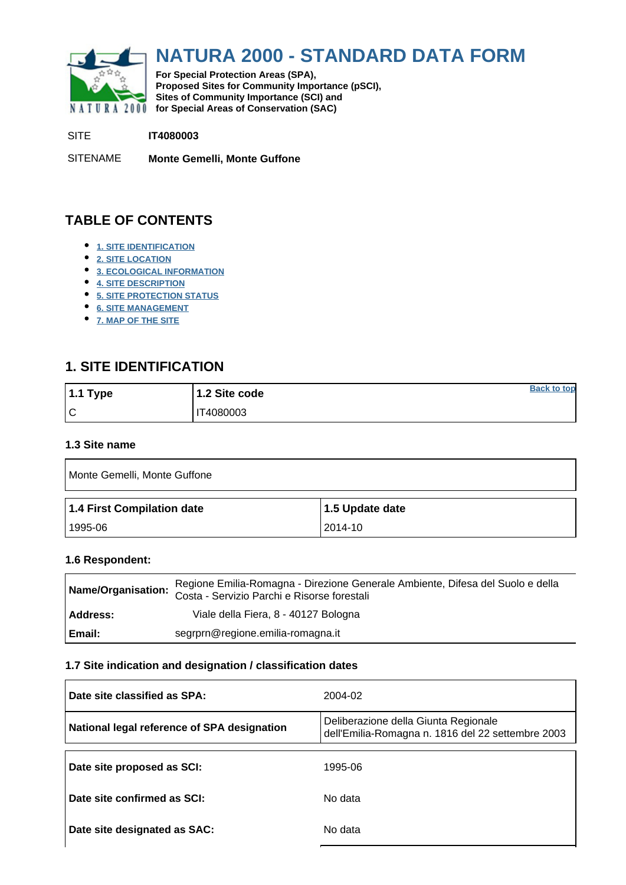<span id="page-0-0"></span>

# **NATURA 2000 - STANDARD DATA FORM**

**For Special Protection Areas (SPA), Proposed Sites for Community Importance (pSCI), Sites of Community Importance (SCI) and NATURA 2000** for Special Areas of Conservation (SAC)

SITE **IT4080003**

SITENAME **Monte Gemelli, Monte Guffone**

# **TABLE OF CONTENTS**

- **[1. SITE IDENTIFICATION](#page-0-1)**
- **[2. SITE LOCATION](#page-1-0)**
- **[3. ECOLOGICAL INFORMATION](#page-1-1)**
- **[4. SITE DESCRIPTION](#page-6-0)**
- **[5. SITE PROTECTION STATUS](#page-6-1)**
- **[6. SITE MANAGEMENT](#page-7-0)**
- **[7. MAP OF THE SITE](#page-7-1)**

# <span id="page-0-1"></span>**1. SITE IDENTIFICATION**

| $1.1$ Type | 1.2 Site code | <b>Back to top</b> |
|------------|---------------|--------------------|
| ١c         | T4080003      |                    |

#### **1.3 Site name**

| Monte Gemelli, Monte Guffone |                 |  |  |  |  |  |
|------------------------------|-----------------|--|--|--|--|--|
|                              |                 |  |  |  |  |  |
| 1.4 First Compilation date   | 1.5 Update date |  |  |  |  |  |

#### **1.6 Respondent:**

| Name/Organisation: | Regione Emilia-Romagna - Direzione Generale Ambiente, Difesa del Suolo e della<br>Costa - Servizio Parchi e Risorse forestali |
|--------------------|-------------------------------------------------------------------------------------------------------------------------------|
| Address:           | Viale della Fiera, 8 - 40127 Bologna                                                                                          |
| l Email:           | segrprn@regione.emilia-romagna.it                                                                                             |

#### **1.7 Site indication and designation / classification dates**

| Date site classified as SPA:                | 2004-02                                                                                   |
|---------------------------------------------|-------------------------------------------------------------------------------------------|
| National legal reference of SPA designation | Deliberazione della Giunta Regionale<br>dell'Emilia-Romagna n. 1816 del 22 settembre 2003 |
| Date site proposed as SCI:                  | 1995-06                                                                                   |
| Date site confirmed as SCI:                 | No data                                                                                   |
| Date site designated as SAC:                | No data                                                                                   |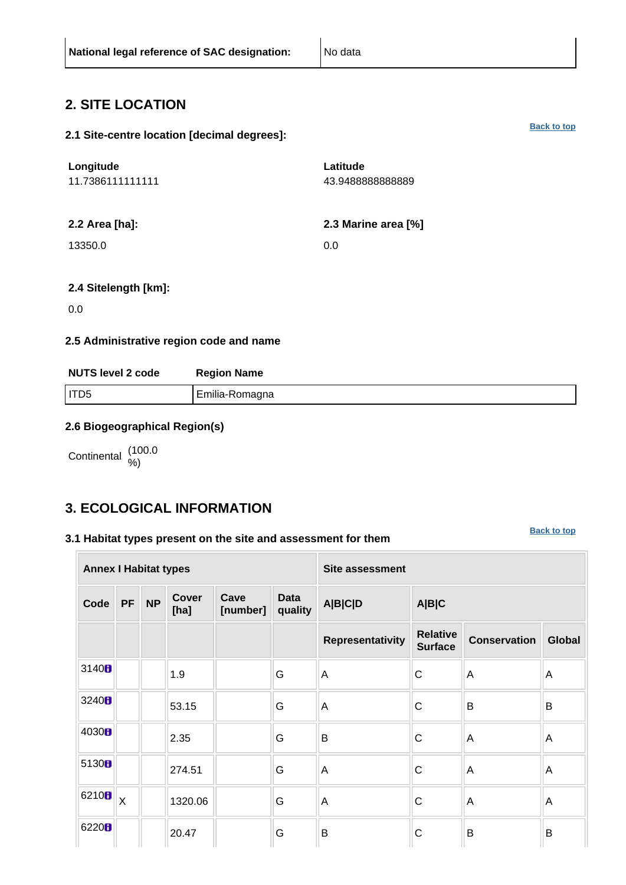### <span id="page-1-0"></span>**2. SITE LOCATION**

#### **2.1 Site-centre location [decimal degrees]:**

| Longitude<br>11.7386111111111 | Latitude<br>43.9488888888889 |
|-------------------------------|------------------------------|
| 2.2 Area [ha]:                | 2.3 Marine area [%]          |
| 13350.0                       | 0.0                          |

#### **2.4 Sitelength [km]:**

0.0

#### **2.5 Administrative region code and name**

| <b>NUTS level 2 code</b> | <b>Region Name</b> |  |  |  |  |  |
|--------------------------|--------------------|--|--|--|--|--|
| I ITD5                   | Emilia-Romagna     |  |  |  |  |  |

#### **2.6 Biogeographical Region(s)**

Continental (100.0

### <span id="page-1-1"></span>**3. ECOLOGICAL INFORMATION**

#### **3.1 Habitat types present on the site and assessment for them**

**[Back to top](#page-0-0)**

|                   | <b>Annex I Habitat types</b> |           |                      |                  |                        | <b>Site assessment</b> |                                   |                     |               |  |  |
|-------------------|------------------------------|-----------|----------------------|------------------|------------------------|------------------------|-----------------------------------|---------------------|---------------|--|--|
| Code              | <b>PF</b>                    | <b>NP</b> | <b>Cover</b><br>[ha] | Cave<br>[number] | <b>Data</b><br>quality | <b>A B C D</b>         | A B C                             |                     |               |  |  |
|                   |                              |           |                      |                  |                        | Representativity       | <b>Relative</b><br><b>Surface</b> | <b>Conservation</b> | <b>Global</b> |  |  |
| 3140H             |                              |           | 1.9                  |                  | G                      | A                      | C                                 | $\overline{A}$      | A             |  |  |
| 3240H             |                              |           | 53.15                |                  | G                      | Α                      | C                                 | B                   | B             |  |  |
| 4030 <sub>B</sub> |                              |           | 2.35                 |                  | G                      | B                      | C                                 | $\overline{A}$      | A             |  |  |
| 5130B             |                              |           | 274.51               |                  | G                      | A                      | C                                 | $\overline{A}$      | A             |  |  |
| 6210 <sub>B</sub> | $\overline{\mathsf{X}}$      |           | 1320.06              |                  | G                      | A                      | C                                 | A                   | A             |  |  |
| 6220H             |                              |           | 20.47                |                  | G                      | B                      | C                                 | B                   | B             |  |  |

**[Back to top](#page-0-0)**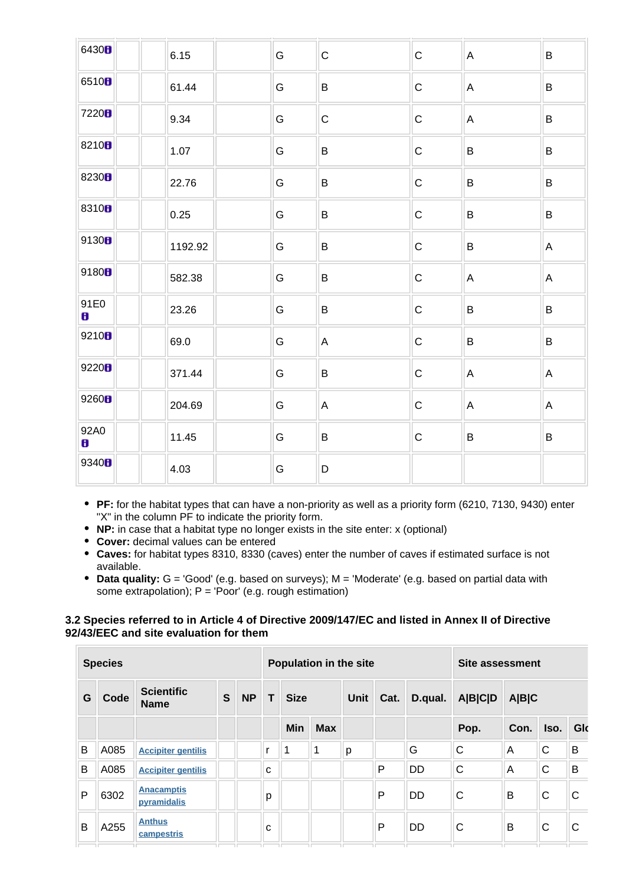| 6430B             | 6.15    | G | $\mathsf C$  | $\mathsf C$ | $\mathsf A$ | $\sf B$      |
|-------------------|---------|---|--------------|-------------|-------------|--------------|
| 6510 <sub>B</sub> | 61.44   | G | B            | $\mathsf C$ | A           | $\, {\bf B}$ |
| 7220B             | 9.34    | G | $\mathsf{C}$ | $\mathsf C$ | A           | $\sf B$      |
| 8210 <sub>B</sub> | 1.07    | G | B            | $\mathsf C$ | $\sf B$     | B            |
| 8230 <sub>8</sub> | 22.76   | G | B            | $\mathsf C$ | $\sf B$     | $\, {\bf B}$ |
| 8310 <sub>8</sub> | 0.25    | G | B            | ${\bf C}$   | B           | $\, {\bf B}$ |
| 9130B             | 1192.92 | G | B            | ${\bf C}$   | $\sf B$     | A            |
| 9180B             | 582.38  | G | B            | $\mathsf C$ | A           | A            |
| 91E0<br>8         | 23.26   | G | B            | $\mathsf C$ | B           | B            |
| 9210 <sub>0</sub> | 69.0    | G | A            | $\mathsf C$ | $\sf B$     | $\sf B$      |
| 9220 <sub>0</sub> | 371.44  | G | B            | $\mathsf C$ | $\mathsf A$ | A            |
| 9260B             | 204.69  | G | A            | $\mathsf C$ | $\mathsf A$ | A            |
| 92A0<br>8         | 11.45   | G | B            | $\mathsf C$ | $\sf B$     | $\sf B$      |
| 9340 <sub>B</sub> | 4.03    | G | D            |             |             |              |

- **PF:** for the habitat types that can have a non-priority as well as a priority form (6210, 7130, 9430) enter "X" in the column PF to indicate the priority form.
- **NP:** in case that a habitat type no longer exists in the site enter: x (optional)
- **Cover:** decimal values can be entered
- **Caves:** for habitat types 8310, 8330 (caves) enter the number of caves if estimated surface is not available.
- **Data quality:** G = 'Good' (e.g. based on surveys); M = 'Moderate' (e.g. based on partial data with some extrapolation);  $P = 'Poor'$  (e.g. rough estimation)

#### **3.2 Species referred to in Article 4 of Directive 2009/147/EC and listed in Annex II of Directive 92/43/EEC and site evaluation for them**

|   | <b>Species</b> |                                  |   |           | Population in the site |             |            |             |        | Site assessment |                |       |      |     |
|---|----------------|----------------------------------|---|-----------|------------------------|-------------|------------|-------------|--------|-----------------|----------------|-------|------|-----|
| G | Code           | <b>Scientific</b><br><b>Name</b> | S | <b>NP</b> | T                      | <b>Size</b> |            | <b>Unit</b> | Cat.   | D.qual.         | <b>A B C D</b> | A B C |      |     |
|   |                |                                  |   |           |                        | <b>Min</b>  | <b>Max</b> |             |        |                 | Pop.           | Con.  | Iso. | Glo |
| B | A085           | <b>Accipiter gentilis</b>        |   |           |                        |             | 1          | p           |        | G               | C              | A     | C    | B   |
| B | A085           | <b>Accipiter gentilis</b>        |   |           | C                      |             |            |             | P      | <b>DD</b>       | $\mathsf{C}$   | A     | C    | B   |
| P | 6302           | <b>Anacamptis</b><br>pyramidalis |   |           | р                      |             |            |             | P      | <b>DD</b>       | C              | B     | C    | C   |
| B | A255<br>пr     | <b>Anthus</b><br>campestris      |   |           | c<br>ш                 |             |            |             | P<br>ш | <b>DD</b>       | C              | B     | C    | C   |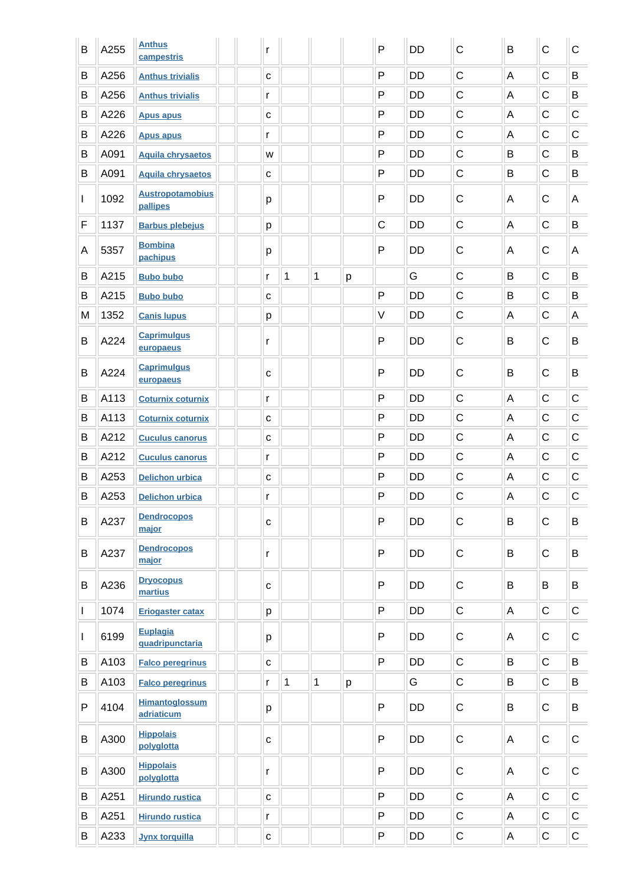| B            | A255 | <b>Anthus</b><br>campestris         | r            |              |              |   | $\mathsf{P}$ | <b>DD</b> | C           | B | $\mathsf C$ | $\mathsf C$ |
|--------------|------|-------------------------------------|--------------|--------------|--------------|---|--------------|-----------|-------------|---|-------------|-------------|
| B            | A256 | <b>Anthus trivialis</b>             | $\mathbf C$  |              |              |   | $\mathsf{P}$ | <b>DD</b> | $\mathsf C$ | A | $\mathsf C$ | B           |
| B            | A256 | <b>Anthus trivialis</b>             | r            |              |              |   | $\mathsf{P}$ | DD        | $\mathsf C$ | A | C           | B           |
| B            | A226 | <b>Apus apus</b>                    | C            |              |              |   | $\mathsf{P}$ | <b>DD</b> | $\mathsf C$ | A | $\mathsf C$ | $\mathsf C$ |
| B            | A226 | <b>Apus apus</b>                    | r            |              |              |   | $\mathsf{P}$ | <b>DD</b> | $\mathsf C$ | A | $\mathsf C$ | $\mathsf C$ |
| B            | A091 | <b>Aquila chrysaetos</b>            | W            |              |              |   | $\mathsf{P}$ | <b>DD</b> | $\mathsf C$ | B | $\mathsf C$ | B           |
| B            | A091 | <b>Aquila chrysaetos</b>            | C            |              |              |   | P            | <b>DD</b> | $\mathsf C$ | B | $\mathsf C$ | B           |
| $\mathbf{I}$ | 1092 | <b>Austropotamobius</b><br>pallipes | p            |              |              |   | $\mathsf{P}$ | <b>DD</b> | C           | A | С           | Α           |
| F            | 1137 | <b>Barbus plebejus</b>              | p            |              |              |   | $\mathsf C$  | <b>DD</b> | C           | A | C           | B           |
| A            | 5357 | <b>Bombina</b><br>pachipus          | p            |              |              |   | $\mathsf{P}$ | <b>DD</b> | C           | A | C           | A           |
| B            | A215 | <b>Bubo bubo</b>                    | r            | $\mathbf 1$  | $\mathbf 1$  | р |              | G         | $\mathsf C$ | B | $\mathsf C$ | B           |
| В            | A215 | <b>Bubo bubo</b>                    | с            |              |              |   | $\mathsf{P}$ | <b>DD</b> | $\mathsf C$ | B | $\mathsf C$ | B           |
| M            | 1352 | <b>Canis lupus</b>                  | р            |              |              |   | $\vee$       | DD        | $\mathsf C$ | А | $\mathsf C$ | A           |
| B            | A224 | <b>Caprimulgus</b><br>europaeus     | r            |              |              |   | $\mathsf{P}$ | DD        | C           | B | $\mathsf C$ | B           |
| B            | A224 | <b>Caprimulgus</b><br>europaeus     | C            |              |              |   | $\mathsf{P}$ | DD        | C           | B | $\mathsf C$ | B           |
| B            | A113 | <b>Coturnix coturnix</b>            | r            |              |              |   | $\mathsf{P}$ | <b>DD</b> | $\mathsf C$ | A | С           | $\mathsf C$ |
| B            | A113 | <b>Coturnix coturnix</b>            | $\mathbf{C}$ |              |              |   | $\mathsf{P}$ | DD        | $\mathsf C$ | A | $\mathsf C$ | $\mathsf C$ |
| B            | A212 | <b>Cuculus canorus</b>              | $\mathtt{C}$ |              |              |   | $\mathsf{P}$ | <b>DD</b> | $\mathsf C$ | A | $\mathsf C$ | $\mathsf C$ |
| B            | A212 | <b>Cuculus canorus</b>              | r            |              |              |   | $\mathsf{P}$ | <b>DD</b> | $\mathsf C$ | A | C           | $\mathsf C$ |
| B            | A253 | <b>Delichon urbica</b>              | $\mathtt{C}$ |              |              |   | P            | <b>DD</b> | $\mathsf C$ | A | C           | $\mathsf C$ |
| B            | A253 | <b>Delichon urbica</b>              | r            |              |              |   | P            | <b>DD</b> | C           | A | C           | $\mathsf C$ |
| B            | A237 | <b>Dendrocopos</b><br>major         | $\mathbf{C}$ |              |              |   | $\mathsf{P}$ | DD        | $\mathsf C$ | B | $\mathsf C$ | B           |
| B            | A237 | <b>Dendrocopos</b><br>major         | r            |              |              |   | $\mathsf{P}$ | DD        | $\mathsf C$ | B | $\mathsf C$ | B           |
| B            | A236 | <b>Dryocopus</b><br>martius         | $\mathbf{C}$ |              |              |   | $\mathsf{P}$ | <b>DD</b> | $\mathsf C$ | B | B           | B           |
| $\mathbf{I}$ | 1074 | <b>Eriogaster catax</b>             | p            |              |              |   | $\mathsf{P}$ | DD        | $\mathsf C$ | A | $\mathsf C$ | $\mathsf C$ |
| $\mathbf{I}$ | 6199 | Euplagia<br>quadripunctaria         | р            |              |              |   | $\mathsf{P}$ | DD        | $\mathsf C$ | A | $\mathsf C$ | $\mathsf C$ |
| B            | A103 | <b>Falco peregrinus</b>             | $\mathbf C$  |              |              |   | $\mathsf{P}$ | DD        | $\mathsf C$ | B | $\mathsf C$ | B           |
| В            | A103 | <b>Falco peregrinus</b>             | r            | $\mathbf{1}$ | $\mathbf{1}$ | p |              | G         | C           | B | $\mathsf C$ | B           |
| P            | 4104 | <b>Himantoglossum</b><br>adriaticum | p            |              |              |   | $\mathsf{P}$ | DD        | $\mathsf C$ | B | $\mathsf C$ | B           |
| B            | A300 | <b>Hippolais</b><br>polyglotta      | $\mathbf{C}$ |              |              |   | P            | DD        | $\mathsf C$ | A | $\mathsf C$ | $\mathsf C$ |
| B            | A300 | <b>Hippolais</b><br>polyglotta      | r            |              |              |   | $\mathsf{P}$ | DD        | $\mathsf C$ | A | $\mathsf C$ | $\mathsf C$ |
| B            | A251 | <b>Hirundo rustica</b>              | $\mathtt{C}$ |              |              |   | P            | DD        | $\mathsf C$ | A | $\mathsf C$ | $\mathsf C$ |
| B            | A251 | <b>Hirundo rustica</b>              | r            |              |              |   | P            | DD        | $\mathsf C$ | A | $\mathsf C$ | $\mathsf C$ |
| B            | A233 | <b>Jynx torquilla</b>               | $\mathtt{C}$ |              |              |   | ${\sf P}$    | DD        | С           | A | $\mathsf C$ | $\mathsf C$ |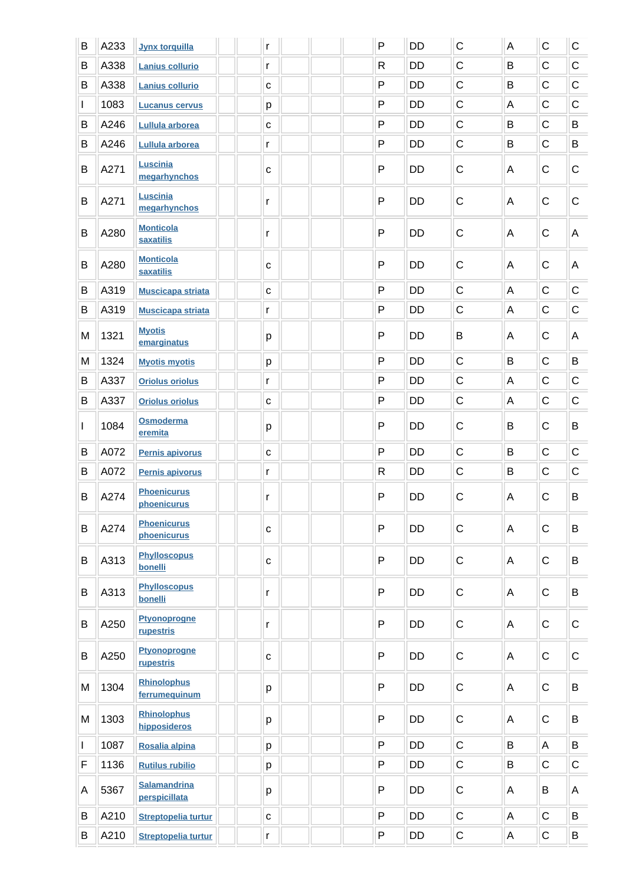| B            | A233 | <b>Jynx torquilla</b>                | r |              | $\mathsf{P}$ | <b>DD</b> | $\mathsf C$  | $\boldsymbol{\mathsf{A}}$ | $\mathsf C$ | $\mathsf C$ |
|--------------|------|--------------------------------------|---|--------------|--------------|-----------|--------------|---------------------------|-------------|-------------|
| B            | A338 | Lanius collurio                      | r |              | $\mathsf{R}$ | <b>DD</b> | $\mathsf C$  | B                         | $\mathsf C$ | $\mathsf C$ |
| B            | A338 | Lanius collurio                      |   | $\mathtt{C}$ | P            | <b>DD</b> | $\mathsf C$  | B                         | C           | $\mathsf C$ |
| L            | 1083 | <b>Lucanus cervus</b>                |   | p            | P            | <b>DD</b> | $\mathsf C$  | A                         | C           | $\mathsf C$ |
| B            | A246 | Lullula arborea                      |   | C            | $\mathsf{P}$ | <b>DD</b> | $\mathsf C$  | B                         | $\mathsf C$ | B           |
| B            | A246 | <b>Lullula arborea</b>               | r |              | $\mathsf{P}$ | DD        | $\mathsf C$  | B                         | $\mathsf C$ | B           |
| B            | A271 | Luscinia<br>megarhynchos             |   | $\mathtt{C}$ | $\mathsf{P}$ | DD        | C            | Α                         | C           | $\mathsf C$ |
| B            | A271 | Luscinia<br>megarhynchos             | r |              | $\mathsf{P}$ | <b>DD</b> | $\mathsf C$  | A                         | $\mathsf C$ | $\mathsf C$ |
| B            | A280 | <b>Monticola</b><br><b>saxatilis</b> | r |              | $\mathsf{P}$ | DD        | C            | A                         | $\mathsf C$ | A           |
| B            | A280 | <b>Monticola</b><br><b>saxatilis</b> |   | $\mathtt{C}$ | $\mathsf{P}$ | <b>DD</b> | $\mathsf C$  | A                         | C           | A           |
| B            | A319 | <b>Muscicapa striata</b>             |   | $\mathbf C$  | $\mathsf{P}$ | <b>DD</b> | $\mathsf C$  | A                         | $\mathsf C$ | $\mathsf C$ |
| B            | A319 | <b>Muscicapa striata</b>             | r |              | $\mathsf{P}$ | DD        | $\mathsf C$  | $\mathsf A$               | $\mathsf C$ | $\mathsf C$ |
| M            | 1321 | <b>Myotis</b><br>emarginatus         |   | р            | $\mathsf{P}$ | DD        | B            | A                         | $\mathsf C$ | A           |
| M            | 1324 | <b>Myotis myotis</b>                 |   | p            | $\mathsf{P}$ | <b>DD</b> | $\mathsf{C}$ | B                         | $\mathsf C$ | B           |
| B            | A337 | <b>Oriolus oriolus</b>               | r |              | $\mathsf{P}$ | <b>DD</b> | $\mathsf C$  | A                         | $\mathsf C$ | $\mathsf C$ |
| B            | A337 | <b>Oriolus oriolus</b>               |   | $\mathtt{C}$ | $\mathsf{P}$ | <b>DD</b> | $\mathsf C$  | A                         | C           | $\mathsf C$ |
| $\mathbf{I}$ | 1084 | Osmoderma<br>eremita                 |   | р            | $\mathsf{P}$ | <b>DD</b> | С            | B                         | C           | B           |
| B            | A072 | Pernis apivorus                      |   | $\mathbf{C}$ | P            | <b>DD</b> | $\mathsf C$  | B                         | C           | $\mathsf C$ |
| B            | A072 | Pernis apivorus                      | r |              | $\mathsf{R}$ | DD        | $\mathsf C$  | B                         | $\mathsf C$ | $\mathsf C$ |
| B            | A274 | <b>Phoenicurus</b><br>phoenicurus    | r |              | $\mathsf{P}$ | <b>DD</b> | $\mathsf C$  | A                         | $\mathsf C$ | B           |
| B            | A274 | <b>Phoenicurus</b><br>phoenicurus    |   | $\mathbf{C}$ | P            | <b>DD</b> | $\mathsf C$  | A                         | $\mathsf C$ | B           |
| B            | A313 | <b>Phylloscopus</b><br>bonelli       |   | $\mathtt{C}$ | $\mathsf{P}$ | DD        | $\mathsf C$  | A                         | $\mathsf C$ | B           |
| B            | A313 | <b>Phylloscopus</b><br>bonelli       | r |              | $\mathsf{P}$ | DD        | $\mathsf C$  | A                         | $\mathsf C$ | B           |
| B            | A250 | <b>Ptyonoprogne</b><br>rupestris     | r |              | $\mathsf{P}$ | DD        | $\mathsf C$  | A                         | $\mathsf C$ | $\mathsf C$ |
| B            | A250 | <b>Ptyonoprogne</b><br>rupestris     |   | C            | $\mathsf{P}$ | DD        | C            | A                         | $\mathsf C$ | $\mathsf C$ |
| M            | 1304 | <b>Rhinolophus</b><br>ferrumequinum  |   | p            | $\mathsf{P}$ | <b>DD</b> | $\mathsf C$  | A                         | $\mathsf C$ | B           |
| M            | 1303 | <b>Rhinolophus</b><br>hipposideros   |   | р            | $\mathsf{P}$ | <b>DD</b> | C            | Α                         | C           | B           |
| L            | 1087 | Rosalia alpina                       |   | p            | $\mathsf{P}$ | DD        | $\mathsf C$  | B                         | A           | B           |
| F            | 1136 | <b>Rutilus rubilio</b>               |   | p            | $\mathsf{P}$ | DD        | $\mathsf C$  | B                         | $\mathsf C$ | $\mathsf C$ |
| Α            | 5367 | <b>Salamandrina</b><br>perspicillata |   | р            | P            | <b>DD</b> | C            | Α                         | B           | A           |
| B            | A210 | <b>Streptopelia turtur</b>           |   | $\mathbf{C}$ | P            | DD        | C            | А                         | $\mathsf C$ | B           |
| B            | A210 | <b>Streptopelia turtur</b>           | r |              | ${\sf P}$    | DD        | C            | A                         | $\mathsf C$ | B           |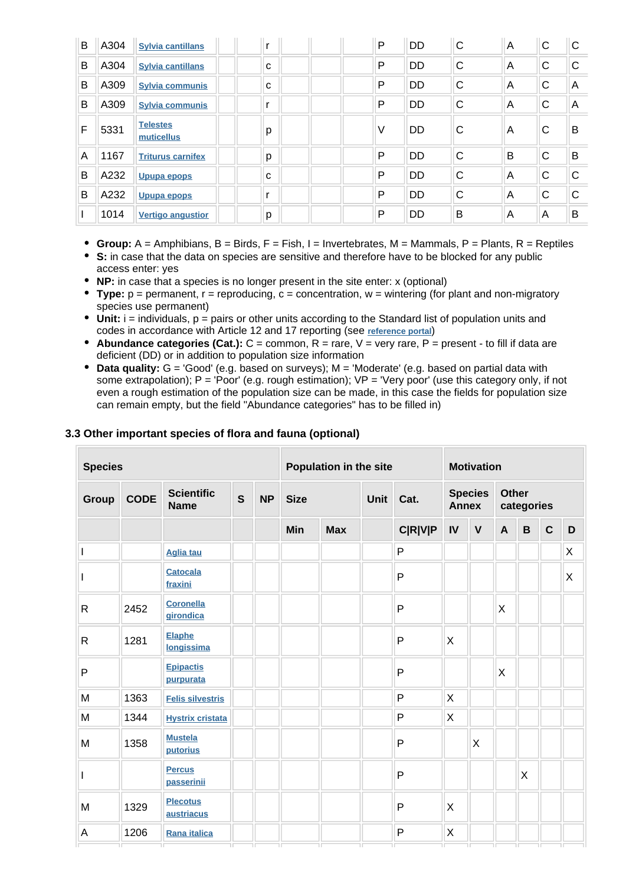| B | A304 | <b>Sylvia cantillans</b>      |   | P | DD        | C | A | C | C |
|---|------|-------------------------------|---|---|-----------|---|---|---|---|
| B | A304 | <b>Sylvia cantillans</b>      | C | P | DD        | C | A | С | C |
| B | A309 | <b>Sylvia communis</b>        | с | P | <b>DD</b> | C | A | C | A |
| B | A309 | <b>Sylvia communis</b>        |   | P | <b>DD</b> | C | A | C | A |
| F | 5331 | <b>Telestes</b><br>muticellus | р | ν | <b>DD</b> | C | A | С | B |
| A | 1167 | <b>Triturus carnifex</b>      | р | P | <b>DD</b> | C | B | C | B |
| B | A232 | <b>Upupa epops</b>            | C | P | DD        | C | A | C | C |
| B | A232 | <b>Upupa epops</b>            |   | P | DD        | C | A | C | C |
|   | 1014 | <b>Vertigo angustion</b>      | р | P | DD        | B | A | Α | B |

- **Group:** A = Amphibians, B = Birds, F = Fish, I = Invertebrates, M = Mammals, P = Plants, R = Reptiles
- **S:** in case that the data on species are sensitive and therefore have to be blocked for any public access enter: yes
- **NP:** in case that a species is no longer present in the site enter: x (optional)
- **Type:** p = permanent, r = reproducing, c = concentration, w = wintering (for plant and non-migratory species use permanent)
- Unit: i = individuals, p = pairs or other units according to the Standard list of population units and codes in accordance with Article 12 and 17 reporting (see **[reference portal](http://bd.eionet.europa.eu/activities/Natura_2000/reference_portal)**)
- **Abundance categories (Cat.):**  $C =$  common,  $R =$  rare,  $V =$  very rare,  $P =$  present to fill if data are deficient (DD) or in addition to population size information
- **Data quality:** G = 'Good' (e.g. based on surveys); M = 'Moderate' (e.g. based on partial data with some extrapolation); P = 'Poor' (e.g. rough estimation); VP = 'Very poor' (use this category only, if not even a rough estimation of the population size can be made, in this case the fields for population size can remain empty, but the field "Abundance categories" has to be filled in)

| <b>Species</b> |             |                                  |              | Population in the site |             |            | <b>Motivation</b> |                |                                |              |                            |   |             |   |
|----------------|-------------|----------------------------------|--------------|------------------------|-------------|------------|-------------------|----------------|--------------------------------|--------------|----------------------------|---|-------------|---|
| Group          | <b>CODE</b> | <b>Scientific</b><br><b>Name</b> | $\mathbf{s}$ | <b>NP</b>              | <b>Size</b> |            | Unit              | Cat.           | <b>Species</b><br><b>Annex</b> |              | <b>Other</b><br>categories |   |             |   |
|                |             |                                  |              |                        | Min         | <b>Max</b> |                   | <b>C R V P</b> | IV                             | $\mathbf{V}$ | A                          | B | $\mathbf C$ | D |
|                |             | <b>Aglia tau</b>                 |              |                        |             |            |                   | $\mathsf{P}$   |                                |              |                            |   |             | X |
| $\mathsf{I}$   |             | <b>Catocala</b><br>fraxini       |              |                        |             |            |                   | $\mathsf{P}$   |                                |              |                            |   |             | X |
| $\mathsf{R}$   | 2452        | <b>Coronella</b><br>girondica    |              |                        |             |            |                   | $\mathsf{P}$   |                                |              | X                          |   |             |   |
| $\mathsf{R}$   | 1281        | <b>Elaphe</b><br>longissima      |              |                        |             |            |                   | P              | X                              |              |                            |   |             |   |
| P              |             | <b>Epipactis</b><br>purpurata    |              |                        |             |            |                   | P              |                                |              | X                          |   |             |   |
| M              | 1363        | <b>Felis silvestris</b>          |              |                        |             |            |                   | $\mathsf{P}$   | X                              |              |                            |   |             |   |
| M              | 1344        | <b>Hystrix cristata</b>          |              |                        |             |            |                   | P              | X                              |              |                            |   |             |   |
| M              | 1358        | <b>Mustela</b><br>putorius       |              |                        |             |            |                   | P              |                                | X            |                            |   |             |   |
| $\mathsf{I}$   |             | <b>Percus</b><br>passerinii      |              |                        |             |            |                   | $\mathsf{P}$   |                                |              |                            | X |             |   |
| M              | 1329        | <b>Plecotus</b><br>austriacus    |              |                        |             |            |                   | P              | X                              |              |                            |   |             |   |
| A              | 1206        | Rana italica                     |              |                        |             |            |                   | P              | X                              |              |                            |   |             |   |

#### **3.3 Other important species of flora and fauna (optional)**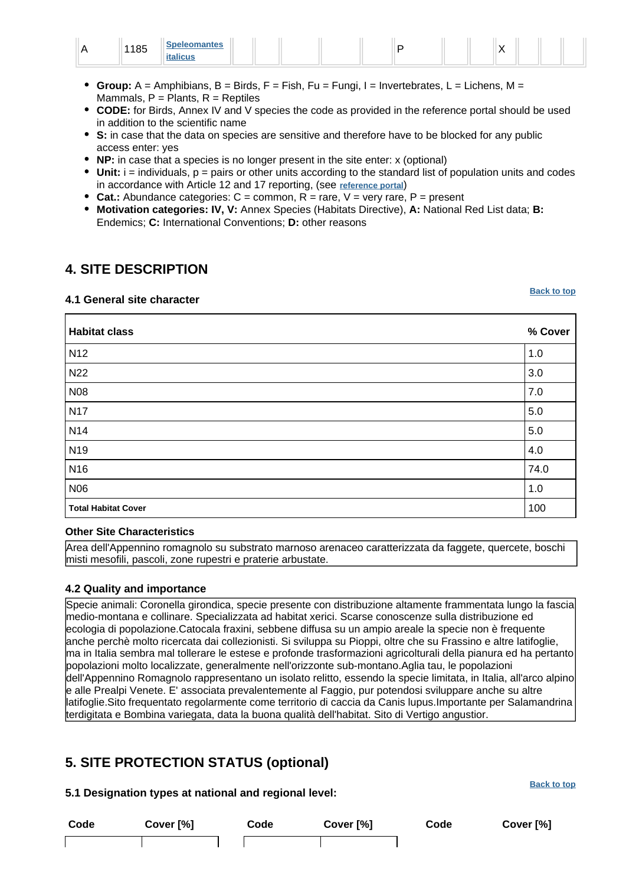|  | 440E<br>103 | <b>Coolaamontoo</b><br>.<br> |  |  |  |  |  |  |  | $\lambda$<br>. . |  |  |  |
|--|-------------|------------------------------|--|--|--|--|--|--|--|------------------|--|--|--|
|--|-------------|------------------------------|--|--|--|--|--|--|--|------------------|--|--|--|

- **Group:** A = Amphibians, B = Birds, F = Fish, Fu = Fungi, I = Invertebrates, L = Lichens, M = Mammals,  $P =$  Plants,  $R =$  Reptiles
- **CODE:** for Birds, Annex IV and V species the code as provided in the reference portal should be used in addition to the scientific name
- **S:** in case that the data on species are sensitive and therefore have to be blocked for any public access enter: yes
- **NP:** in case that a species is no longer present in the site enter: x (optional)
- $\bullet$  Unit:  $i =$  individuals,  $p =$  pairs or other units according to the standard list of population units and codes in accordance with Article 12 and 17 reporting, (see **[reference portal](http://bd.eionet.europa.eu/activities/Natura_2000/reference_portal)**)
- **Cat.:** Abundance categories:  $C =$  common,  $R =$  rare,  $V =$  very rare,  $P =$  present
- **Motivation categories: IV, V:** Annex Species (Habitats Directive), **A:** National Red List data; **B:** Endemics; **C:** International Conventions; **D:** other reasons

### <span id="page-6-0"></span>**4. SITE DESCRIPTION**

#### **4.1 General site character**

**[Back to top](#page-0-0)**

| <b>Habitat class</b>       | % Cover |
|----------------------------|---------|
| N <sub>12</sub>            | 1.0     |
| N22                        | 3.0     |
| N08                        | 7.0     |
| <b>N17</b>                 | 5.0     |
| N14                        | $5.0\,$ |
| N <sub>19</sub>            | 4.0     |
| N <sub>16</sub>            | 74.0    |
| N06                        | 1.0     |
| <b>Total Habitat Cover</b> | 100     |

#### **Other Site Characteristics**

Area dell'Appennino romagnolo su substrato marnoso arenaceo caratterizzata da faggete, quercete, boschi misti mesofili, pascoli, zone rupestri e praterie arbustate.

#### **4.2 Quality and importance**

Specie animali: Coronella girondica, specie presente con distribuzione altamente frammentata lungo la fascia medio-montana e collinare. Specializzata ad habitat xerici. Scarse conoscenze sulla distribuzione ed ecologia di popolazione.Catocala fraxini, sebbene diffusa su un ampio areale la specie non è frequente anche perchè molto ricercata dai collezionisti. Si sviluppa su Pioppi, oltre che su Frassino e altre latifoglie, ma in Italia sembra mal tollerare le estese e profonde trasformazioni agricolturali della pianura ed ha pertanto popolazioni molto localizzate, generalmente nell'orizzonte sub-montano.Aglia tau, le popolazioni dell'Appennino Romagnolo rappresentano un isolato relitto, essendo la specie limitata, in Italia, all'arco alpino e alle Prealpi Venete. E' associata prevalentemente al Faggio, pur potendosi sviluppare anche su altre latifoglie.Sito frequentato regolarmente come territorio di caccia da Canis lupus.Importante per Salamandrina terdigitata e Bombina variegata, data la buona qualità dell'habitat. Sito di Vertigo angustior.

# <span id="page-6-1"></span>**5. SITE PROTECTION STATUS (optional)**

**5.1 Designation types at national and regional level:**

**Code Cover [%] Code Cover [%] Code Cover [%]**

**[Back to top](#page-0-0)**